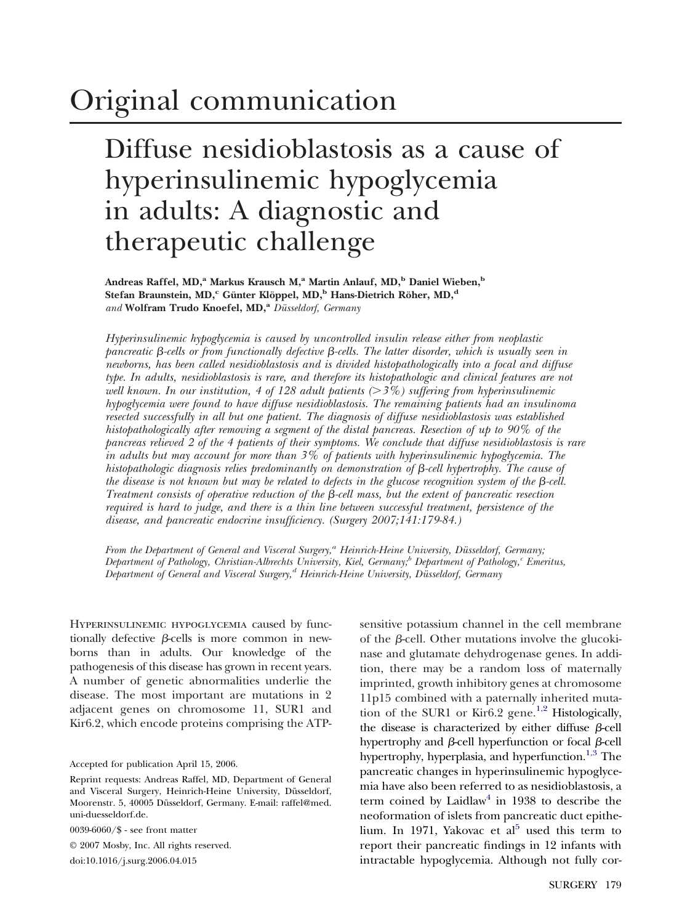# Original communication

## Diffuse nesidioblastosis as a cause of hyperinsulinemic hypoglycemia in adults: A diagnostic and therapeutic challenge

Andreas Raffel, MD,<sup>a</sup> Markus Krausch M,<sup>a</sup> Martin Anlauf, MD,<sup>b</sup> Daniel Wieben,<sup>b</sup> Stefan Braunstein, MD,<sup>c</sup> Günter Klöppel, MD,<sup>b</sup> Hans-Dietrich Röher, MD,<sup>d</sup> and Wolfram Trudo Knoefel, MD,<sup>a</sup> Düsseldorf, Germany

*Hyperinsulinemic hypoglycemia is caused by uncontrolled insulin release either from neoplastic pancreatic*  $\beta$ -cells or from functionally defective  $\beta$ -cells. The latter disorder, which is usually seen in *newborns, has been called nesidioblastosis and is divided histopathologically into a focal and diffuse type. In adults, nesidioblastosis is rare, and therefore its histopathologic and clinical features are not well known. In our institution, 4 of 128 adult patients (3%) suffering from hyperinsulinemic hypoglycemia were found to have diffuse nesidioblastosis. The remaining patients had an insulinoma resected successfully in all but one patient. The diagnosis of diffuse nesidioblastosis was established histopathologically after removing a segment of the distal pancreas. Resection of up to 90% of the pancreas relieved 2 of the 4 patients of their symptoms. We conclude that diffuse nesidioblastosis is rare in adults but may account for more than 3% of patients with hyperinsulinemic hypoglycemia. The histopathologic diagnosis relies predominantly on demonstration of*  $\beta$ -cell hypertrophy. The cause of *the disease is not known but may be related to defects in the glucose recognition system of the*  $\beta$ -cell. *Treatment consists of operative reduction of the*  $\beta$ *-cell mass, but the extent of pancreatic resection required is hard to judge, and there is a thin line between successful treatment, persistence of the disease, and pancreatic endocrine insufficiency. (Surgery 2007;141:179-84.)*

*From the Department of General and Visceral Surgery,<sup>a</sup> Heinrich-Heine University, Düsseldorf, Germany; Department of Pathology, Christian-Albrechts University, Kiel, Germany;*<sup>b</sup> *Department of Pathology,<sup>c</sup> Emeritus, Department of General and Visceral Surgery,d Heinrich-Heine University, Düsseldorf, Germany*

Hyperinsulinemic hypoglycemia caused by functionally defective  $\beta$ -cells is more common in newborns than in adults. Our knowledge of the pathogenesis of this disease has grown in recent years. A number of genetic abnormalities underlie the disease. The most important are mutations in 2 adjacent genes on chromosome 11, SUR1 and Kir6.2, which encode proteins comprising the ATP-

Accepted for publication April 15, 2006.

0039-6060/\$ - see front matter

© 2007 Mosby, Inc. All rights reserved. doi:10.1016/j.surg.2006.04.015

sensitive potassium channel in the cell membrane of the  $\beta$ -cell. Other mutations involve the glucokinase and glutamate dehydrogenase genes. In addition, there may be a random loss of maternally imprinted, growth inhibitory genes at chromosome 11p15 combined with a paternally inherited muta-tion of the SUR1 or Kir6.2 gene.<sup>[1,2](#page-4-0)</sup> Histologically, the disease is characterized by either diffuse  $\beta$ -cell hypertrophy and  $\beta$ -cell hyperfunction or focal  $\beta$ -cell hypertrophy, hyperplasia, and hyperfunction.<sup>1,3</sup> The pancreatic changes in hyperinsulinemic hypoglycemia have also been referred to as nesidioblastosis, a term coined by Laidlaw<sup>[4](#page-4-0)</sup> in 1938 to describe the neoformation of islets from pancreatic duct epithelium. In 1971, Yakovac et  $al<sup>5</sup>$  $al<sup>5</sup>$  $al<sup>5</sup>$  used this term to report their pancreatic findings in 12 infants with intractable hypoglycemia. Although not fully cor-

Reprint requests: Andreas Raffel, MD, Department of General and Visceral Surgery, Heinrich-Heine University, Düsseldorf, Moorenstr. 5, 40005 Düsseldorf, Germany. E-mail: raffel@med. uni-duesseldorf.de.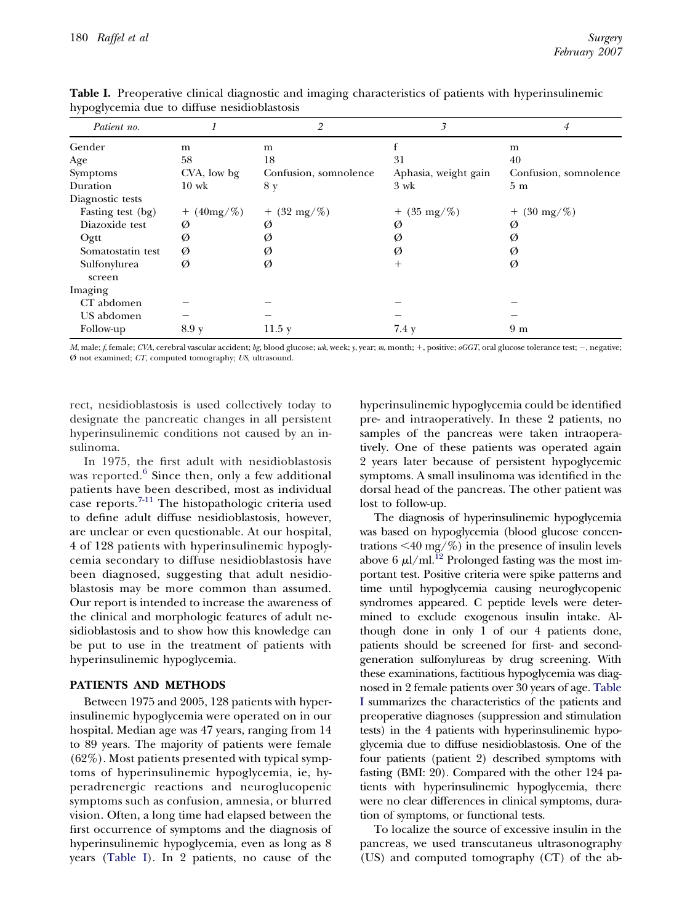| Patient no.            |                 | 2                     | 3                    | 4                     |
|------------------------|-----------------|-----------------------|----------------------|-----------------------|
| Gender                 | m               | m                     |                      | m                     |
| Age                    | 58              | 18                    | 31                   | 40                    |
| Symptoms               | CVA, low bg     | Confusion, somnolence | Aphasia, weight gain | Confusion, somnolence |
| Duration               | $10 \text{ wk}$ | 8 y                   | 3 wk                 | 5 <sub>m</sub>        |
| Diagnostic tests       |                 |                       |                      |                       |
| Fasting test (bg)      | $+$ (40mg/%)    | $+$ (32 mg/%)         | $+$ (35 mg/%)        | $+$ (30 mg/%)         |
| Diazoxide test         | Ø               | Ø                     | Ø                    | Ø                     |
| Ogtt                   | Ø               | Ø                     | Ø                    | Ø                     |
| Somatostatin test      | Ø               | Ø                     | Ø                    | Ø                     |
| Sulfonylurea<br>screen | Ø               | Ø                     | $^{+}$               | Ø                     |
| Imaging                |                 |                       |                      |                       |
| CT abdomen             |                 |                       |                      |                       |
| US abdomen             |                 |                       |                      |                       |
| Follow-up              | 8.9 y           | 11.5y                 | 7.4 y                | 9 <sub>m</sub>        |

<span id="page-1-0"></span>**Table I.** Preoperative clinical diagnostic and imaging characteristics of patients with hyperinsulinemic hypoglycemia due to diffuse nesidioblastosis

*M*, male; *f*, female; *CVA*, cerebral vascular accident; *bg*, blood glucose; *wk*, week; *y*, year; *m*, month; +, positive; *oGGT*, oral glucose tolerance test; -, negative; Ø not examined; *CT*, computed tomography; *US*, ultrasound.

rect, nesidioblastosis is used collectively today to designate the pancreatic changes in all persistent hyperinsulinemic conditions not caused by an insulinoma.

In 1975, the first adult with nesidioblastosis was reported. $6$  Since then, only a few additional patients have been described, most as individual case reports.[7-11](#page-4-0) The histopathologic criteria used to define adult diffuse nesidioblastosis, however, are unclear or even questionable. At our hospital, 4 of 128 patients with hyperinsulinemic hypoglycemia secondary to diffuse nesidioblastosis have been diagnosed, suggesting that adult nesidioblastosis may be more common than assumed. Our report is intended to increase the awareness of the clinical and morphologic features of adult nesidioblastosis and to show how this knowledge can be put to use in the treatment of patients with hyperinsulinemic hypoglycemia.

## **PATIENTS AND METHODS**

Between 1975 and 2005, 128 patients with hyperinsulinemic hypoglycemia were operated on in our hospital. Median age was 47 years, ranging from 14 to 89 years. The majority of patients were female (62%). Most patients presented with typical symptoms of hyperinsulinemic hypoglycemia, ie, hyperadrenergic reactions and neuroglucopenic symptoms such as confusion, amnesia, or blurred vision. Often, a long time had elapsed between the first occurrence of symptoms and the diagnosis of hyperinsulinemic hypoglycemia, even as long as 8 years (Table I). In 2 patients, no cause of the hyperinsulinemic hypoglycemia could be identified pre- and intraoperatively. In these 2 patients, no samples of the pancreas were taken intraoperatively. One of these patients was operated again 2 years later because of persistent hypoglycemic symptoms. A small insulinoma was identified in the dorsal head of the pancreas. The other patient was lost to follow-up.

The diagnosis of hyperinsulinemic hypoglycemia was based on hypoglycemia (blood glucose concentrations  $\leq 40$  mg/%) in the presence of insulin levels above 6  $\mu$ l/ml.<sup>12</sup> Prolonged fasting was the most important test. Positive criteria were spike patterns and time until hypoglycemia causing neuroglycopenic syndromes appeared. C peptide levels were determined to exclude exogenous insulin intake. Although done in only 1 of our 4 patients done, patients should be screened for first- and secondgeneration sulfonylureas by drug screening. With these examinations, factitious hypoglycemia was diagnosed in 2 female patients over 30 years of age. Table I summarizes the characteristics of the patients and preoperative diagnoses (suppression and stimulation tests) in the 4 patients with hyperinsulinemic hypoglycemia due to diffuse nesidioblastosis. One of the four patients (patient 2) described symptoms with fasting (BMI: 20). Compared with the other 124 patients with hyperinsulinemic hypoglycemia, there were no clear differences in clinical symptoms, duration of symptoms, or functional tests.

To localize the source of excessive insulin in the pancreas, we used transcutaneus ultrasonography (US) and computed tomography (CT) of the ab-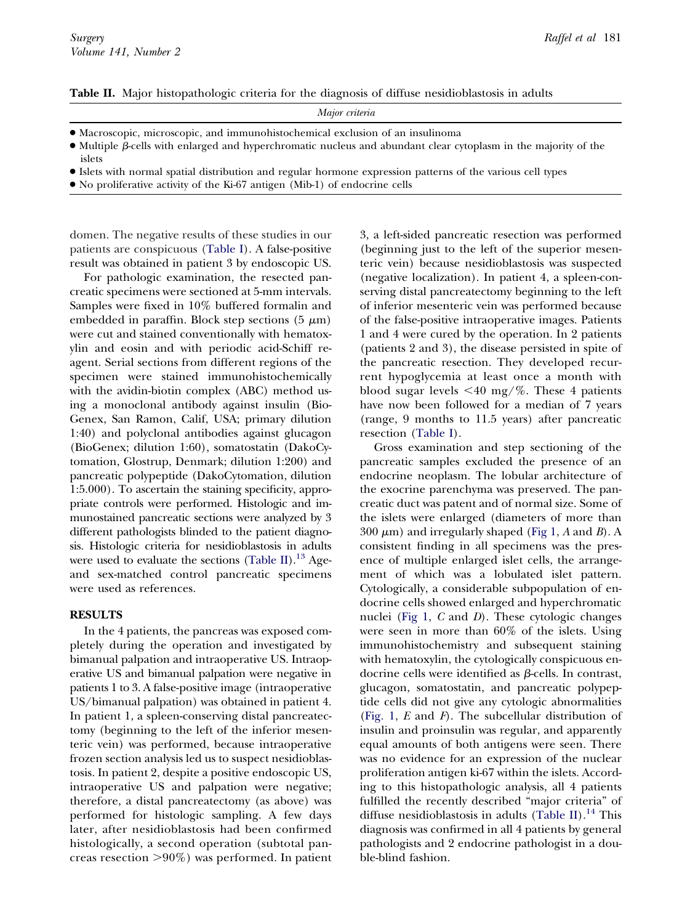**Table II.** Major histopathologic criteria for the diagnosis of diffuse nesidioblastosis in adults

| Major criteria                                                                                                                 |  |
|--------------------------------------------------------------------------------------------------------------------------------|--|
| • Macroscopic, microscopic, and immunohistochemical exclusion of an insulinoma                                                 |  |
| $\bullet$ Multiple $\beta$ -cells with enlarged and hyperchromatic nucleus and abundant clear cytoplasm in the majority of the |  |
| islets                                                                                                                         |  |
| • Islets with normal spatial distribution and regular hormone expression patterns of the various cell types                    |  |

● No proliferative activity of the Ki-67 antigen (Mib-1) of endocrine cells

domen. The negative results of these studies in our patients are conspicuous [\(Table I\)](#page-1-0). A false-positive result was obtained in patient 3 by endoscopic US.

For pathologic examination, the resected pancreatic specimens were sectioned at 5-mm intervals. Samples were fixed in 10% buffered formalin and embedded in paraffin. Block step sections  $(5 \mu m)$ were cut and stained conventionally with hematoxylin and eosin and with periodic acid-Schiff reagent. Serial sections from different regions of the specimen were stained immunohistochemically with the avidin-biotin complex (ABC) method using a monoclonal antibody against insulin (Bio-Genex, San Ramon, Calif, USA; primary dilution 1:40) and polyclonal antibodies against glucagon (BioGenex; dilution 1:60), somatostatin (DakoCytomation, Glostrup, Denmark; dilution 1:200) and pancreatic polypeptide (DakoCytomation, dilution 1:5.000). To ascertain the staining specificity, appropriate controls were performed. Histologic and immunostained pancreatic sections were analyzed by 3 different pathologists blinded to the patient diagnosis. Histologic criteria for nesidioblastosis in adults were used to evaluate the sections (Table II).<sup>13</sup> Ageand sex-matched control pancreatic specimens were used as references.

### **RESULTS**

In the 4 patients, the pancreas was exposed completely during the operation and investigated by bimanual palpation and intraoperative US. Intraoperative US and bimanual palpation were negative in patients 1 to 3. A false-positive image (intraoperative US/bimanual palpation) was obtained in patient 4. In patient 1, a spleen-conserving distal pancreatectomy (beginning to the left of the inferior mesenteric vein) was performed, because intraoperative frozen section analysis led us to suspect nesidioblastosis. In patient 2, despite a positive endoscopic US, intraoperative US and palpation were negative; therefore, a distal pancreatectomy (as above) was performed for histologic sampling. A few days later, after nesidioblastosis had been confirmed histologically, a second operation (subtotal pancreas resection  $>90\%$ ) was performed. In patient 3, a left-sided pancreatic resection was performed (beginning just to the left of the superior mesenteric vein) because nesidioblastosis was suspected (negative localization). In patient 4, a spleen-conserving distal pancreatectomy beginning to the left of inferior mesenteric vein was performed because of the false-positive intraoperative images. Patients 1 and 4 were cured by the operation. In 2 patients (patients 2 and 3), the disease persisted in spite of the pancreatic resection. They developed recurrent hypoglycemia at least once a month with blood sugar levels  $\leq 40$  mg/%. These 4 patients have now been followed for a median of 7 years (range, 9 months to 11.5 years) after pancreatic resection [\(Table I\)](#page-1-0).

Gross examination and step sectioning of the pancreatic samples excluded the presence of an endocrine neoplasm. The lobular architecture of the exocrine parenchyma was preserved. The pancreatic duct was patent and of normal size. Some of the islets were enlarged (diameters of more than  $300 \mu m$ ) and irregularly shaped [\(Fig 1,](#page-3-0)  $A$  and  $B$ ). A consistent finding in all specimens was the presence of multiple enlarged islet cells, the arrangement of which was a lobulated islet pattern. Cytologically, a considerable subpopulation of endocrine cells showed enlarged and hyperchromatic nuclei [\(Fig 1,](#page-3-0) *C* and *D*). These cytologic changes were seen in more than 60% of the islets. Using immunohistochemistry and subsequent staining with hematoxylin, the cytologically conspicuous endocrine cells were identified as  $\beta$ -cells. In contrast, glucagon, somatostatin, and pancreatic polypeptide cells did not give any cytologic abnormalities [\(Fig. 1,](#page-3-0) *E* and *F*). The subcellular distribution of insulin and proinsulin was regular, and apparently equal amounts of both antigens were seen. There was no evidence for an expression of the nuclear proliferation antigen ki-67 within the islets. According to this histopathologic analysis, all 4 patients fulfilled the recently described "major criteria" of diffuse nesidioblastosis in adults (Table II).<sup>14</sup> This diagnosis was confirmed in all 4 patients by general pathologists and 2 endocrine pathologist in a double-blind fashion.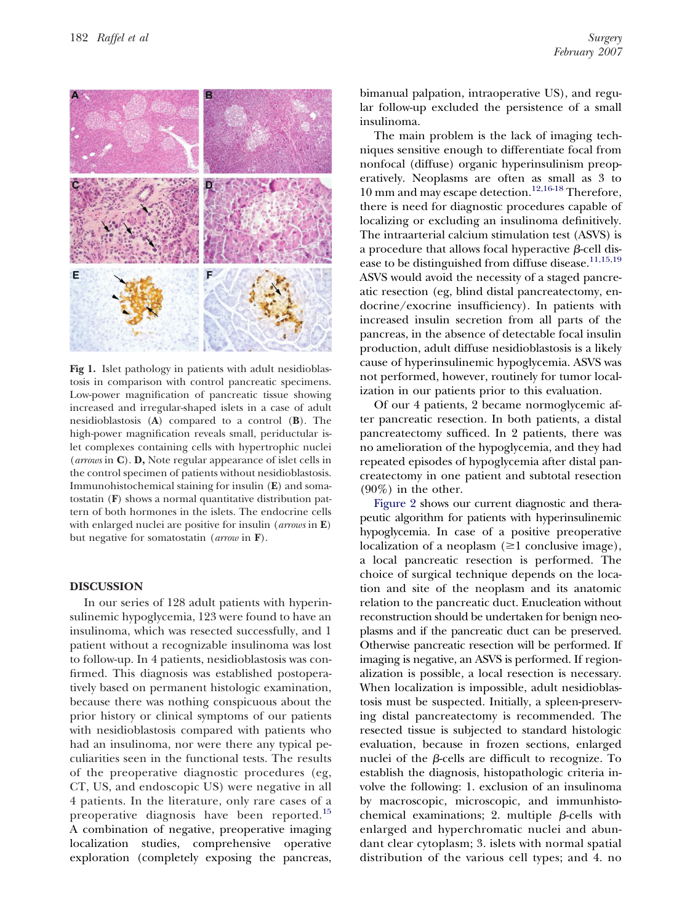<span id="page-3-0"></span>

**Fig 1.** Islet pathology in patients with adult nesidioblastosis in comparison with control pancreatic specimens. Low-power magnification of pancreatic tissue showing increased and irregular-shaped islets in a case of adult nesidioblastosis (**A**) compared to a control (**B**). The high-power magnification reveals small, periductular islet complexes containing cells with hypertrophic nuclei (*arrows* in **C**). **D,** Note regular appearance of islet cells in the control specimen of patients without nesidioblastosis. Immunohistochemical staining for insulin (**E**) and somatostatin (**F**) shows a normal quantitative distribution pattern of both hormones in the islets. The endocrine cells with enlarged nuclei are positive for insulin (*arrows* in **E**) but negative for somatostatin (*arrow* in **F**).

#### **DISCUSSION**

In our series of 128 adult patients with hyperinsulinemic hypoglycemia, 123 were found to have an insulinoma, which was resected successfully, and 1 patient without a recognizable insulinoma was lost to follow-up. In 4 patients, nesidioblastosis was confirmed. This diagnosis was established postoperatively based on permanent histologic examination, because there was nothing conspicuous about the prior history or clinical symptoms of our patients with nesidioblastosis compared with patients who had an insulinoma, nor were there any typical peculiarities seen in the functional tests. The results of the preoperative diagnostic procedures (eg, CT, US, and endoscopic US) were negative in all 4 patients. In the literature, only rare cases of a preoperative diagnosis have been reported.[15](#page-5-0) A combination of negative, preoperative imaging localization studies, comprehensive operative exploration (completely exposing the pancreas, bimanual palpation, intraoperative US), and regular follow-up excluded the persistence of a small insulinoma.

The main problem is the lack of imaging techniques sensitive enough to differentiate focal from nonfocal (diffuse) organic hyperinsulinism preoperatively. Neoplasms are often as small as 3 to 10 mm and may escape detection.<sup>[12,16-18](#page-5-0)</sup> Therefore, there is need for diagnostic procedures capable of localizing or excluding an insulinoma definitively. The intraarterial calcium stimulation test (ASVS) is a procedure that allows focal hyperactive  $\beta$ -cell dis-ease to be distinguished from diffuse disease.<sup>[11,15,19](#page-5-0)</sup> ASVS would avoid the necessity of a staged pancreatic resection (eg, blind distal pancreatectomy, endocrine/exocrine insufficiency). In patients with increased insulin secretion from all parts of the pancreas, in the absence of detectable focal insulin production, adult diffuse nesidioblastosis is a likely cause of hyperinsulinemic hypoglycemia. ASVS was not performed, however, routinely for tumor localization in our patients prior to this evaluation.

Of our 4 patients, 2 became normoglycemic after pancreatic resection. In both patients, a distal pancreatectomy sufficed. In 2 patients, there was no amelioration of the hypoglycemia, and they had repeated episodes of hypoglycemia after distal pancreatectomy in one patient and subtotal resection  $(90\%)$  in the other.

[Figure 2](#page-4-0) shows our current diagnostic and therapeutic algorithm for patients with hyperinsulinemic hypoglycemia. In case of a positive preoperative localization of a neoplasm  $(\geq 1$  conclusive image), a local pancreatic resection is performed. The choice of surgical technique depends on the location and site of the neoplasm and its anatomic relation to the pancreatic duct. Enucleation without reconstruction should be undertaken for benign neoplasms and if the pancreatic duct can be preserved. Otherwise pancreatic resection will be performed. If imaging is negative, an ASVS is performed. If regionalization is possible, a local resection is necessary. When localization is impossible, adult nesidioblastosis must be suspected. Initially, a spleen-preserving distal pancreatectomy is recommended. The resected tissue is subjected to standard histologic evaluation, because in frozen sections, enlarged nuclei of the  $\beta$ -cells are difficult to recognize. To establish the diagnosis, histopathologic criteria involve the following: 1. exclusion of an insulinoma by macroscopic, microscopic, and immunhistochemical examinations; 2. multiple  $\beta$ -cells with enlarged and hyperchromatic nuclei and abundant clear cytoplasm; 3. islets with normal spatial distribution of the various cell types; and 4. no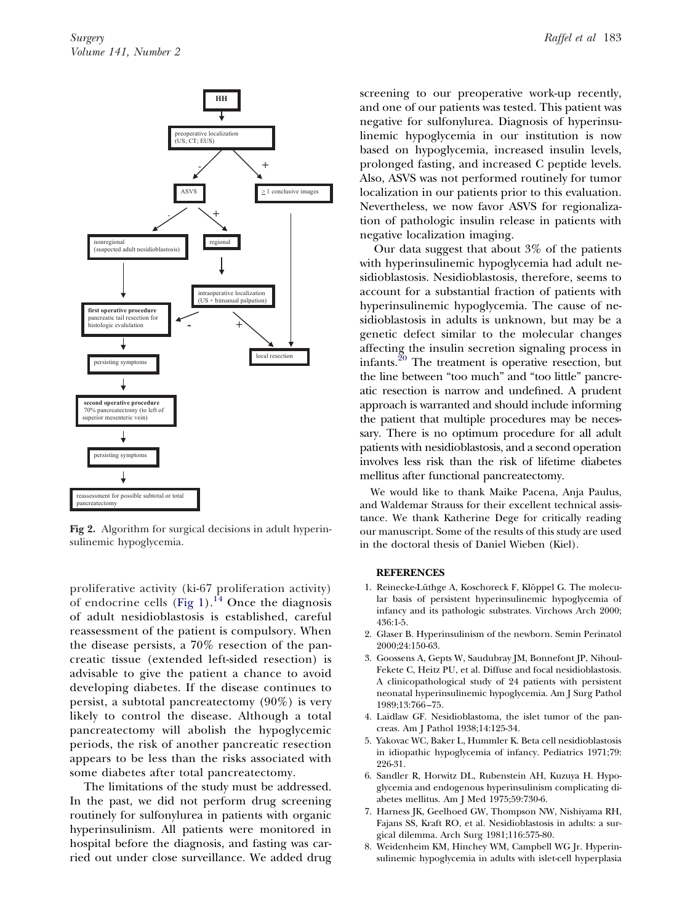<span id="page-4-0"></span>

**Fig 2.** Algorithm for surgical decisions in adult hyperinsulinemic hypoglycemia.

proliferative activity (ki-67 proliferation activity) of endocrine cells [\(Fig 1\)](#page-3-0).<sup>[14](#page-5-0)</sup> Once the diagnosis of adult nesidioblastosis is established, careful reassessment of the patient is compulsory. When the disease persists, a 70% resection of the pancreatic tissue (extended left-sided resection) is advisable to give the patient a chance to avoid developing diabetes. If the disease continues to persist, a subtotal pancreatectomy (90%) is very likely to control the disease. Although a total pancreatectomy will abolish the hypoglycemic periods, the risk of another pancreatic resection appears to be less than the risks associated with some diabetes after total pancreatectomy.

The limitations of the study must be addressed. In the past, we did not perform drug screening routinely for sulfonylurea in patients with organic hyperinsulinism. All patients were monitored in hospital before the diagnosis, and fasting was carried out under close surveillance. We added drug screening to our preoperative work-up recently, and one of our patients was tested. This patient was negative for sulfonylurea. Diagnosis of hyperinsulinemic hypoglycemia in our institution is now based on hypoglycemia, increased insulin levels, prolonged fasting, and increased C peptide levels. Also, ASVS was not performed routinely for tumor localization in our patients prior to this evaluation. Nevertheless, we now favor ASVS for regionalization of pathologic insulin release in patients with negative localization imaging.

Our data suggest that about 3% of the patients with hyperinsulinemic hypoglycemia had adult nesidioblastosis. Nesidioblastosis, therefore, seems to account for a substantial fraction of patients with hyperinsulinemic hypoglycemia. The cause of nesidioblastosis in adults is unknown, but may be a genetic defect similar to the molecular changes affecting the insulin secretion signaling process in infants.[20](#page-5-0) The treatment is operative resection, but the line between "too much" and "too little" pancreatic resection is narrow and undefined. A prudent approach is warranted and should include informing the patient that multiple procedures may be necessary. There is no optimum procedure for all adult patients with nesidioblastosis, and a second operation involves less risk than the risk of lifetime diabetes mellitus after functional pancreatectomy.

We would like to thank Maike Pacena, Anja Paulus, and Waldemar Strauss for their excellent technical assistance. We thank Katherine Dege for critically reading our manuscript. Some of the results of this study are used in the doctoral thesis of Daniel Wieben (Kiel).

#### **REFERENCES**

- 1. Reinecke-Lüthge A, Koschoreck F, Klöppel G. The molecular basis of persistent hyperinsulinemic hypoglycemia of infancy and its pathologic substrates. Virchows Arch 2000; 436:1-5.
- 2. Glaser B. Hyperinsulinism of the newborn. Semin Perinatol 2000;24:150-63.
- 3. Goossens A, Gepts W, Saudubray JM, Bonnefont JP, Nihoul-Fekete C, Heitz PU, et al. Diffuse and focal nesidioblastosis. A clinicopathological study of 24 patients with persistent neonatal hyperinsulinemic hypoglycemia. Am J Surg Pathol 1989;13:766 –75.
- 4. Laidlaw GF. Nesidioblastoma, the islet tumor of the pancreas. Am J Pathol 1938;14:125-34.
- 5. Yakovac WC, Baker L, Hummler K. Beta cell nesidioblastosis in idiopathic hypoglycemia of infancy. Pediatrics 1971;79: 226-31.
- 6. Sandler R, Horwitz DL, Rubenstein AH, Kuzuya H. Hypoglycemia and endogenous hyperinsulinism complicating diabetes mellitus. Am J Med 1975;59:730-6.
- 7. Harness JK, Geelhoed GW, Thompson NW, Nishiyama RH, Fajans SS, Kraft RO, et al. Nesidioblastosis in adults: a surgical dilemma. Arch Surg 1981;116:575-80.
- 8. Weidenheim KM, Hinchey WM, Campbell WG Jr. Hyperinsulinemic hypoglycemia in adults with islet-cell hyperplasia